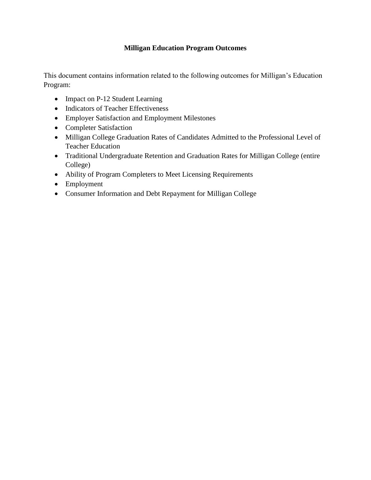# **Milligan Education Program Outcomes**

This document contains information related to the following outcomes for Milligan's Education Program:

- Impact on P-12 Student Learning
- Indicators of Teacher Effectiveness
- Employer Satisfaction and Employment Milestones
- Completer Satisfaction
- Milligan College Graduation Rates of Candidates Admitted to the Professional Level of Teacher Education
- Traditional Undergraduate Retention and Graduation Rates for Milligan College (entire College)
- Ability of Program Completers to Meet Licensing Requirements
- Employment
- Consumer Information and Debt Repayment for Milligan College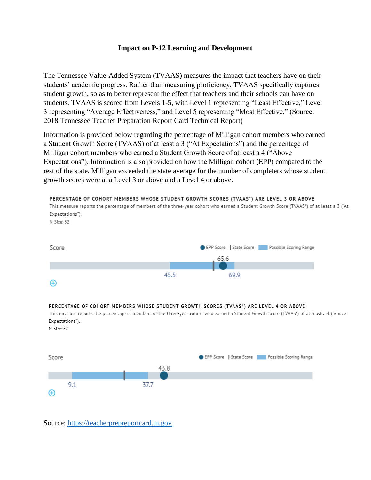## **Impact on P-12 Learning and Development**

The Tennessee Value-Added System (TVAAS) measures the impact that teachers have on their students' academic progress. Rather than measuring proficiency, TVAAS specifically captures student growth, so as to better represent the effect that teachers and their schools can have on students. TVAAS is scored from Levels 1-5, with Level 1 representing "Least Effective," Level 3 representing "Average Effectiveness," and Level 5 representing "Most Effective." (Source: 2018 Tennessee Teacher Preparation Report Card Technical Report)

Information is provided below regarding the percentage of Milligan cohort members who earned a Student Growth Score (TVAAS) of at least a 3 ("At Expectations") and the percentage of Milligan cohort members who earned a Student Growth Score of at least a 4 ("Above Expectations"). Information is also provided on how the Milligan cohort (EPP) compared to the rest of the state. Milligan exceeded the state average for the number of completers whose student growth scores were at a Level 3 or above and a Level 4 or above.



Source: [https://teacherprepreportcard.tn.gov](https://teacherprepreportcard.tn.gov/)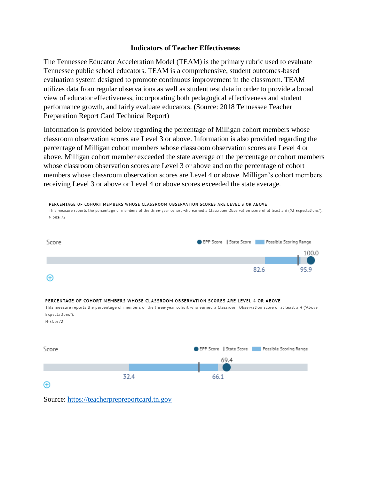## **Indicators of Teacher Effectiveness**

The Tennessee Educator Acceleration Model (TEAM) is the primary rubric used to evaluate Tennessee public school educators. TEAM is a comprehensive, student outcomes-based evaluation system designed to promote continuous improvement in the classroom. TEAM utilizes data from regular observations as well as student test data in order to provide a broad view of educator effectiveness, incorporating both pedagogical effectiveness and student performance growth, and fairly evaluate educators. (Source: 2018 Tennessee Teacher Preparation Report Card Technical Report)

Information is provided below regarding the percentage of Milligan cohort members whose classroom observation scores are Level 3 or above. Information is also provided regarding the percentage of Milligan cohort members whose classroom observation scores are Level 4 or above. Milligan cohort member exceeded the state average on the percentage or cohort members whose classroom observation scores are Level 3 or above and on the percentage of cohort members whose classroom observation scores are Level 4 or above. Milligan's cohort members receiving Level 3 or above or Level 4 or above scores exceeded the state average.



Source: [https://teacherprepreportcard.tn.gov](https://teacherprepreportcard.tn.gov/)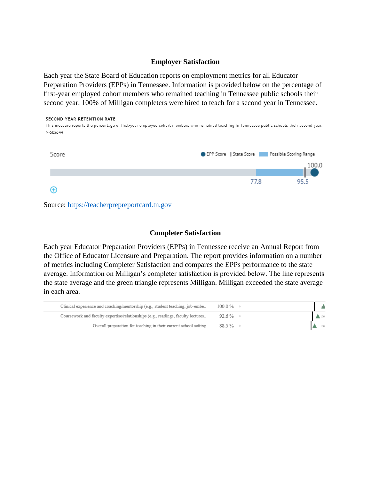## **Employer Satisfaction**

Each year the State Board of Education reports on employment metrics for all Educator Preparation Providers (EPPs) in Tennessee. Information is provided below on the percentage of first-year employed cohort members who remained teaching in Tennessee public schools their second year. 100% of Milligan completers were hired to teach for a second year in Tennessee.

#### SECOND YEAR RETENTION RATE

This measure reports the percentage of first-year employed cohort members who remained teaching in Tennessee public schools their second year. N-Size: 44



Source: [https://teacherprepreportcard.tn.gov](https://teacherprepreportcard.tn.gov/)

#### **Completer Satisfaction**

Each year Educator Preparation Providers (EPPs) in Tennessee receive an Annual Report from the Office of Educator Licensure and Preparation. The report provides information on a number of metrics including Completer Satisfaction and compares the EPPs performance to the state average. Information on Milligan's completer satisfaction is provided below. The line represents the state average and the green triangle represents Milligan. Milligan exceeded the state average in each area.

| Clinical experience and coaching/mentorship (e.g., student teaching, job-embe    | $100.0\%$ $\degree$ |                 |
|----------------------------------------------------------------------------------|---------------------|-----------------|
| Coursework and faculty expertise/relationships (e.g., readings, faculty lectures | $92.6\%$ 0          | $\triangle$ 100 |
| Overall preparation for teaching in their current school setting                 | $88.5\%$ 0          | 100             |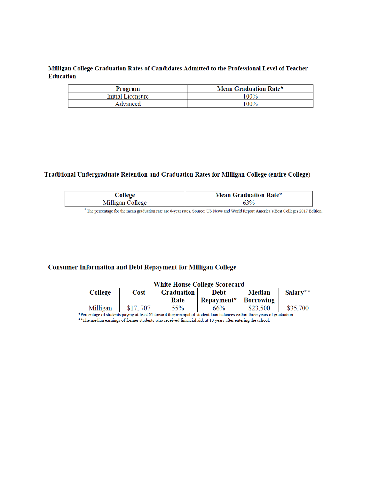## Milligan College Graduation Rates of Candidates Admitted to the Professional Level of Teacher **Education**

| Program           | Mean Graduation Rate* |  |  |  |
|-------------------|-----------------------|--|--|--|
| Initial Licensure | 100%                  |  |  |  |
| Advanced          | $100\%$               |  |  |  |

#### Traditional Undergraduate Retention and Graduation Rates for Milligan College (entire College)

|                 | Mean .<br>Rate* |  |  |
|-----------------|-----------------|--|--|
| <b>PERMIT</b>   | 20/             |  |  |
| $\Delta \theta$ | 70              |  |  |

\*The percentage for the mean graduation rate are 6-year rates. Source: US News and World Report America's Best Colleges 2017 Edition.

## **Consumer Information and Debt Repayment for Milligan College**

| <b>White House College Scorecard</b> |          |            |            |                  |          |  |
|--------------------------------------|----------|------------|------------|------------------|----------|--|
| College                              | Cost     | Graduation | Debt       | <b>Median</b>    | Salary** |  |
|                                      |          | Rate       | Repayment* | <b>Borrowing</b> |          |  |
| Milligan                             | \$17.707 | 55%        | 66%        | \$23,500         | \$35,700 |  |

\*Percentage of students paying at least \$1 toward the principal of student loan balances within three years of graduation.<br>\*\*The median earnings of former students who received financial aid, at 10 years after entering the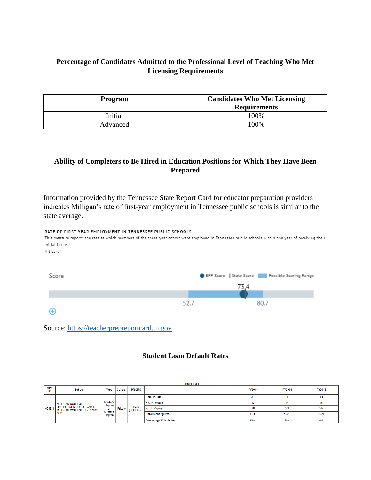# **Percentage of Candidates Admitted to the Professional Level of Teaching Who Met Licensing Requirements**

| Program  | <b>Candidates Who Met Licensing</b><br><b>Requirements</b> |  |  |
|----------|------------------------------------------------------------|--|--|
| Initial  | 100%                                                       |  |  |
| Advanced | 100%                                                       |  |  |

# **Ability of Completers to Be Hired in Education Positions for Which They Have Been Prepared**

Information provided by the Tennessee State Report Card for educator preparation providers indicates Milligan's rate of first-year employment in Tennessee public schools is similar to the state average.



Source: [https://teacherprepreportcard.tn.gov](https://teacherprepreportcard.tn.gov/)

## **Student Loan Default Rates**

|                  | Record 1 of 1                                                                           |                                                |         |                           |                               |               |               |        |
|------------------|-----------------------------------------------------------------------------------------|------------------------------------------------|---------|---------------------------|-------------------------------|---------------|---------------|--------|
| <b>OPE</b><br>ID | <b>School</b>                                                                           | <b>Type</b>                                    | Control | <b>PRGMS</b>              |                               | <b>FY2015</b> | <b>FY2014</b> | FY2013 |
|                  | MILLIGAN COLLEGE<br>ONE BLOWERS BOULEVARD<br>1003511 MILLIGAN COLLEGE TN 37682-<br>4001 | Master's<br>Degree<br>or<br>Doctor's<br>Degree | Private | <b>Both</b><br>(FFEL/FDL) | <b>Default Rate</b>           | 3.1           |               | 4.1    |
|                  |                                                                                         |                                                |         |                           | No. in Default                |               | 15            |        |
|                  |                                                                                         |                                                |         |                           | No. in Repay                  | 384           | 374           | 364    |
|                  |                                                                                         |                                                |         |                           | <b>Enrollment figures</b>     | 1,308         | 1,370         | 1,370  |
|                  |                                                                                         |                                                |         |                           | <b>Percentage Calculation</b> | 29.3          | 27.2          | 26.5   |